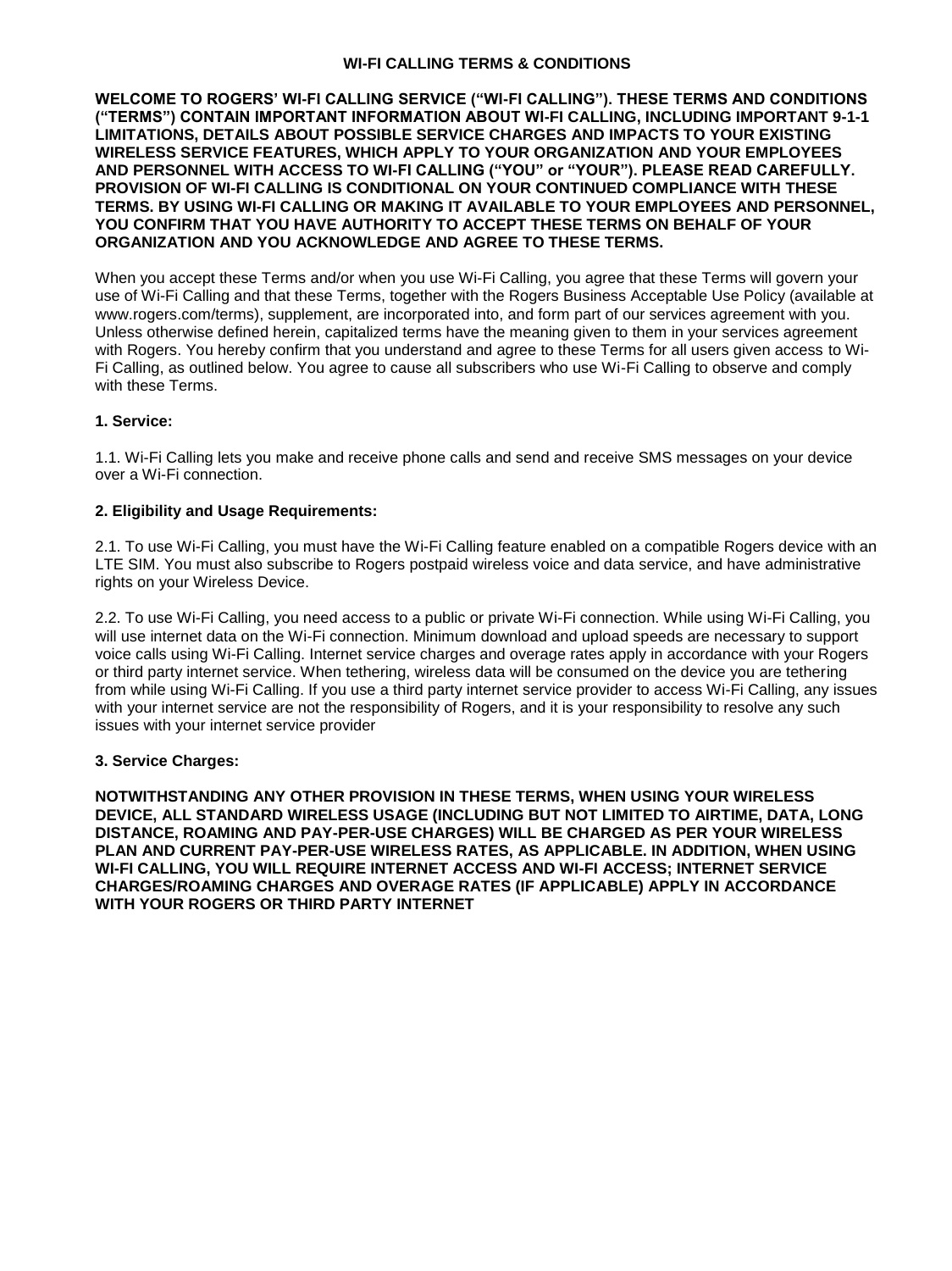### **WI-FI CALLING TERMS & CONDITIONS**

**WELCOME TO ROGERS' WI-FI CALLING SERVICE ("WI-FI CALLING"). THESE TERMS AND CONDITIONS ("TERMS") CONTAIN IMPORTANT INFORMATION ABOUT WI-FI CALLING, INCLUDING IMPORTANT 9-1-1 LIMITATIONS, DETAILS ABOUT POSSIBLE SERVICE CHARGES AND IMPACTS TO YOUR EXISTING WIRELESS SERVICE FEATURES, WHICH APPLY TO YOUR ORGANIZATION AND YOUR EMPLOYEES AND PERSONNEL WITH ACCESS TO WI-FI CALLING ("YOU" or "YOUR"). PLEASE READ CAREFULLY. PROVISION OF WI-FI CALLING IS CONDITIONAL ON YOUR CONTINUED COMPLIANCE WITH THESE TERMS. BY USING WI-FI CALLING OR MAKING IT AVAILABLE TO YOUR EMPLOYEES AND PERSONNEL, YOU CONFIRM THAT YOU HAVE AUTHORITY TO ACCEPT THESE TERMS ON BEHALF OF YOUR ORGANIZATION AND YOU ACKNOWLEDGE AND AGREE TO THESE TERMS.** 

When you accept these Terms and/or when you use Wi-Fi Calling, you agree that these Terms will govern your use of Wi-Fi Calling and that these Terms, together with the Rogers Business Acceptable Use Policy (available at www.rogers.com/terms), supplement, are incorporated into, and form part of our services agreement with you. Unless otherwise defined herein, capitalized terms have the meaning given to them in your services agreement with Rogers. You hereby confirm that you understand and agree to these Terms for all users given access to Wi-Fi Calling, as outlined below. You agree to cause all subscribers who use Wi-Fi Calling to observe and comply with these Terms.

### **1. Service:**

1.1. Wi-Fi Calling lets you make and receive phone calls and send and receive SMS messages on your device over a Wi-Fi connection.

### **2. Eligibility and Usage Requirements:**

2.1. To use Wi-Fi Calling, you must have the Wi-Fi Calling feature enabled on a compatible Rogers device with an LTE SIM. You must also subscribe to Rogers postpaid wireless voice and data service, and have administrative rights on your Wireless Device.

2.2. To use Wi-Fi Calling, you need access to a public or private Wi-Fi connection. While using Wi-Fi Calling, you will use internet data on the Wi-Fi connection. Minimum download and upload speeds are necessary to support voice calls using Wi-Fi Calling. Internet service charges and overage rates apply in accordance with your Rogers or third party internet service. When tethering, wireless data will be consumed on the device you are tethering from while using Wi-Fi Calling. If you use a third party internet service provider to access Wi-Fi Calling, any issues with your internet service are not the responsibility of Rogers, and it is your responsibility to resolve any such issues with your internet service provider

#### **3. Service Charges:**

**NOTWITHSTANDING ANY OTHER PROVISION IN THESE TERMS, WHEN USING YOUR WIRELESS DEVICE, ALL STANDARD WIRELESS USAGE (INCLUDING BUT NOT LIMITED TO AIRTIME, DATA, LONG DISTANCE, ROAMING AND PAY-PER-USE CHARGES) WILL BE CHARGED AS PER YOUR WIRELESS PLAN AND CURRENT PAY-PER-USE WIRELESS RATES, AS APPLICABLE. IN ADDITION, WHEN USING WI-FI CALLING, YOU WILL REQUIRE INTERNET ACCESS AND WI-FI ACCESS; INTERNET SERVICE CHARGES/ROAMING CHARGES AND OVERAGE RATES (IF APPLICABLE) APPLY IN ACCORDANCE WITH YOUR ROGERS OR THIRD PARTY INTERNET**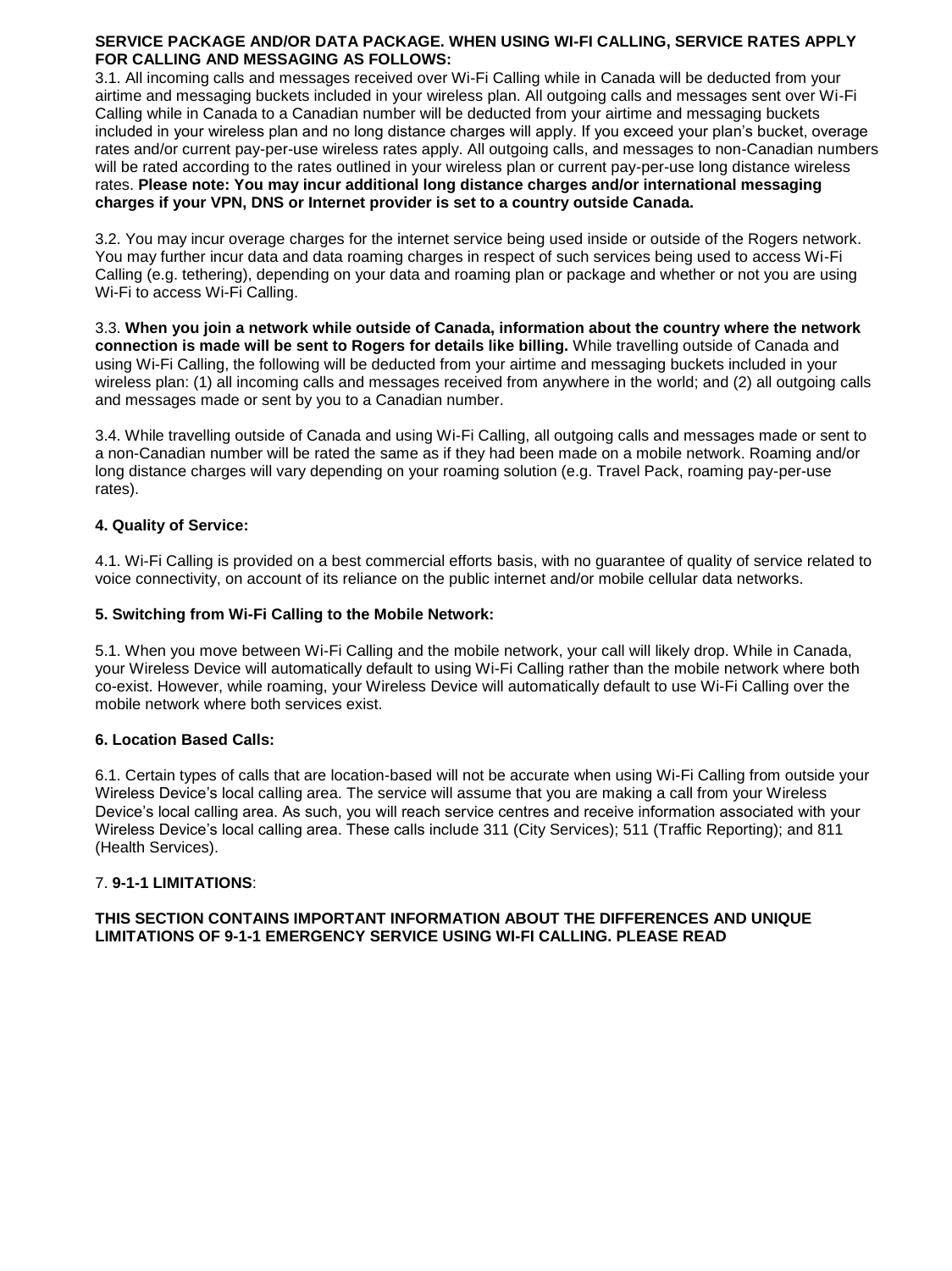#### **SERVICE PACKAGE AND/OR DATA PACKAGE. WHEN USING WI-FI CALLING, SERVICE RATES APPLY FOR CALLING AND MESSAGING AS FOLLOWS:**

3.1. All incoming calls and messages received over Wi-Fi Calling while in Canada will be deducted from your airtime and messaging buckets included in your wireless plan. All outgoing calls and messages sent over Wi-Fi Calling while in Canada to a Canadian number will be deducted from your airtime and messaging buckets included in your wireless plan and no long distance charges will apply. If you exceed your plan's bucket, overage rates and/or current pay-per-use wireless rates apply. All outgoing calls, and messages to non-Canadian numbers will be rated according to the rates outlined in your wireless plan or current pay-per-use long distance wireless rates. **Please note: You may incur additional long distance charges and/or international messaging charges if your VPN, DNS or Internet provider is set to a country outside Canada.** 

3.2. You may incur overage charges for the internet service being used inside or outside of the Rogers network. You may further incur data and data roaming charges in respect of such services being used to access Wi-Fi Calling (e.g. tethering), depending on your data and roaming plan or package and whether or not you are using Wi-Fi to access Wi-Fi Calling.

3.3. **When you join a network while outside of Canada, information about the country where the network connection is made will be sent to Rogers for details like billing.** While travelling outside of Canada and using Wi-Fi Calling, the following will be deducted from your airtime and messaging buckets included in your wireless plan: (1) all incoming calls and messages received from anywhere in the world; and (2) all outgoing calls and messages made or sent by you to a Canadian number.

3.4. While travelling outside of Canada and using Wi-Fi Calling, all outgoing calls and messages made or sent to a non-Canadian number will be rated the same as if they had been made on a mobile network. Roaming and/or long distance charges will vary depending on your roaming solution (e.g. Travel Pack, roaming pay-per-use rates).

### **4. Quality of Service:**

4.1. Wi-Fi Calling is provided on a best commercial efforts basis, with no guarantee of quality of service related to voice connectivity, on account of its reliance on the public internet and/or mobile cellular data networks.

#### **5. Switching from Wi-Fi Calling to the Mobile Network:**

5.1. When you move between Wi-Fi Calling and the mobile network, your call will likely drop. While in Canada, your Wireless Device will automatically default to using Wi-Fi Calling rather than the mobile network where both co-exist. However, while roaming, your Wireless Device will automatically default to use Wi-Fi Calling over the mobile network where both services exist.

#### **6. Location Based Calls:**

6.1. Certain types of calls that are location-based will not be accurate when using Wi-Fi Calling from outside your Wireless Device's local calling area. The service will assume that you are making a call from your Wireless Device's local calling area. As such, you will reach service centres and receive information associated with your Wireless Device's local calling area. These calls include 311 (City Services); 511 (Traffic Reporting); and 811 (Health Services).

#### 7. **9-1-1 LIMITATIONS**:

### **THIS SECTION CONTAINS IMPORTANT INFORMATION ABOUT THE DIFFERENCES AND UNIQUE LIMITATIONS OF 9-1-1 EMERGENCY SERVICE USING WI-FI CALLING. PLEASE READ**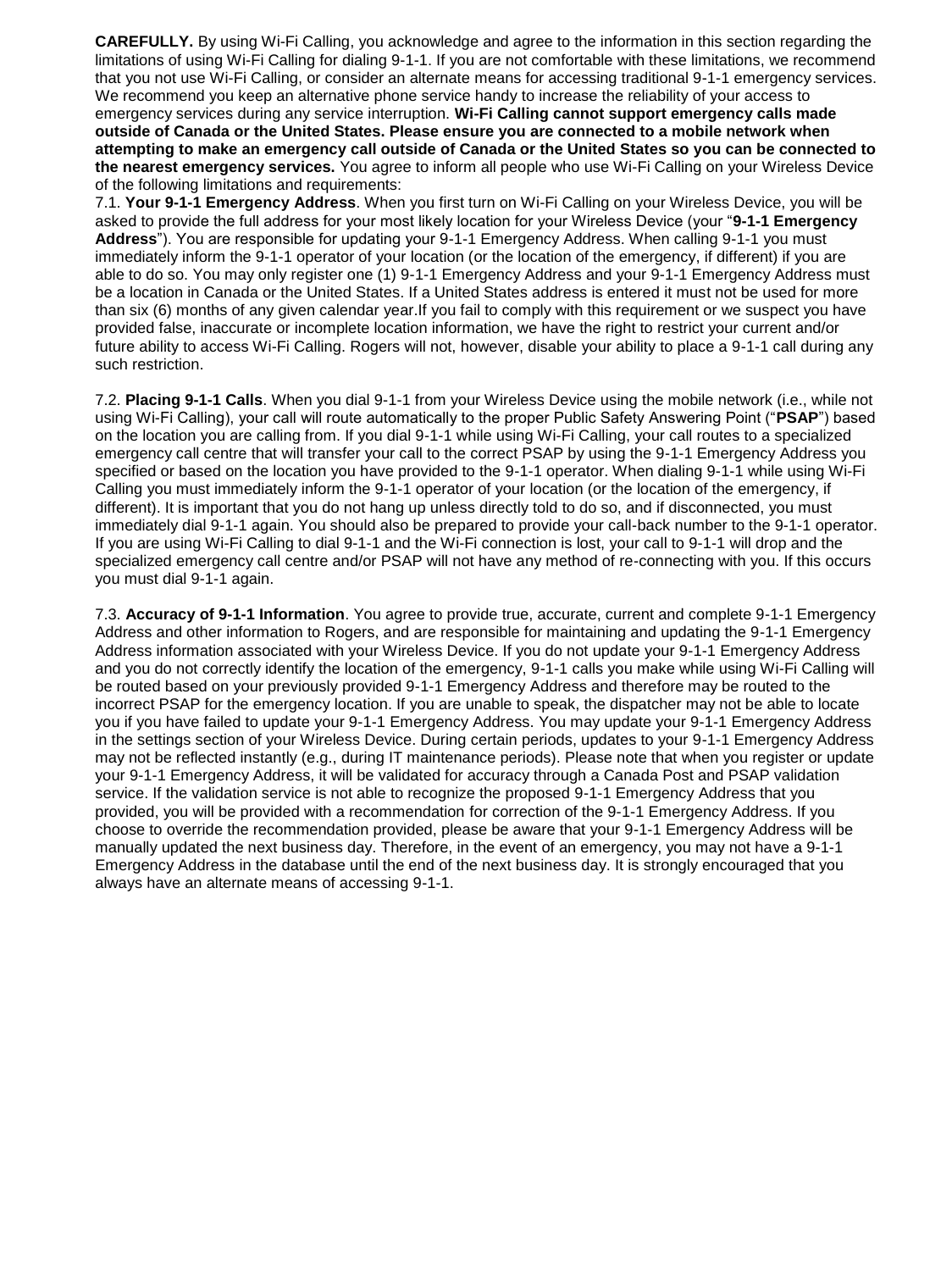**CAREFULLY.** By using Wi-Fi Calling, you acknowledge and agree to the information in this section regarding the limitations of using Wi-Fi Calling for dialing 9-1-1. If you are not comfortable with these limitations, we recommend that you not use Wi-Fi Calling, or consider an alternate means for accessing traditional 9-1-1 emergency services. We recommend you keep an alternative phone service handy to increase the reliability of your access to emergency services during any service interruption. **Wi-Fi Calling cannot support emergency calls made outside of Canada or the United States. Please ensure you are connected to a mobile network when attempting to make an emergency call outside of Canada or the United States so you can be connected to the nearest emergency services.** You agree to inform all people who use Wi-Fi Calling on your Wireless Device of the following limitations and requirements:

7.1. **Your 9-1-1 Emergency Address**. When you first turn on Wi-Fi Calling on your Wireless Device, you will be asked to provide the full address for your most likely location for your Wireless Device (your "**9-1-1 Emergency Address**"). You are responsible for updating your 9-1-1 Emergency Address. When calling 9-1-1 you must immediately inform the 9-1-1 operator of your location (or the location of the emergency, if different) if you are able to do so. You may only register one (1) 9-1-1 Emergency Address and your 9-1-1 Emergency Address must be a location in Canada or the United States. If a United States address is entered it must not be used for more than six (6) months of any given calendar year.If you fail to comply with this requirement or we suspect you have provided false, inaccurate or incomplete location information, we have the right to restrict your current and/or future ability to access Wi-Fi Calling. Rogers will not, however, disable your ability to place a 9-1-1 call during any such restriction.

7.2. **Placing 9-1-1 Calls**. When you dial 9-1-1 from your Wireless Device using the mobile network (i.e., while not using Wi-Fi Calling), your call will route automatically to the proper Public Safety Answering Point ("**PSAP**") based on the location you are calling from. If you dial 9-1-1 while using Wi-Fi Calling, your call routes to a specialized emergency call centre that will transfer your call to the correct PSAP by using the 9-1-1 Emergency Address you specified or based on the location you have provided to the 9-1-1 operator. When dialing 9-1-1 while using Wi-Fi Calling you must immediately inform the 9-1-1 operator of your location (or the location of the emergency, if different). It is important that you do not hang up unless directly told to do so, and if disconnected, you must immediately dial 9-1-1 again. You should also be prepared to provide your call-back number to the 9-1-1 operator. If you are using Wi-Fi Calling to dial 9-1-1 and the Wi-Fi connection is lost, your call to 9-1-1 will drop and the specialized emergency call centre and/or PSAP will not have any method of re-connecting with you. If this occurs you must dial 9-1-1 again.

7.3. **Accuracy of 9-1-1 Information**. You agree to provide true, accurate, current and complete 9-1-1 Emergency Address and other information to Rogers, and are responsible for maintaining and updating the 9-1-1 Emergency Address information associated with your Wireless Device. If you do not update your 9-1-1 Emergency Address and you do not correctly identify the location of the emergency, 9-1-1 calls you make while using Wi-Fi Calling will be routed based on your previously provided 9-1-1 Emergency Address and therefore may be routed to the incorrect PSAP for the emergency location. If you are unable to speak, the dispatcher may not be able to locate you if you have failed to update your 9-1-1 Emergency Address. You may update your 9-1-1 Emergency Address in the settings section of your Wireless Device. During certain periods, updates to your 9-1-1 Emergency Address may not be reflected instantly (e.g., during IT maintenance periods). Please note that when you register or update your 9-1-1 Emergency Address, it will be validated for accuracy through a Canada Post and PSAP validation service. If the validation service is not able to recognize the proposed 9-1-1 Emergency Address that you provided, you will be provided with a recommendation for correction of the 9-1-1 Emergency Address. If you choose to override the recommendation provided, please be aware that your 9-1-1 Emergency Address will be manually updated the next business day. Therefore, in the event of an emergency, you may not have a 9-1-1 Emergency Address in the database until the end of the next business day. It is strongly encouraged that you always have an alternate means of accessing 9-1-1.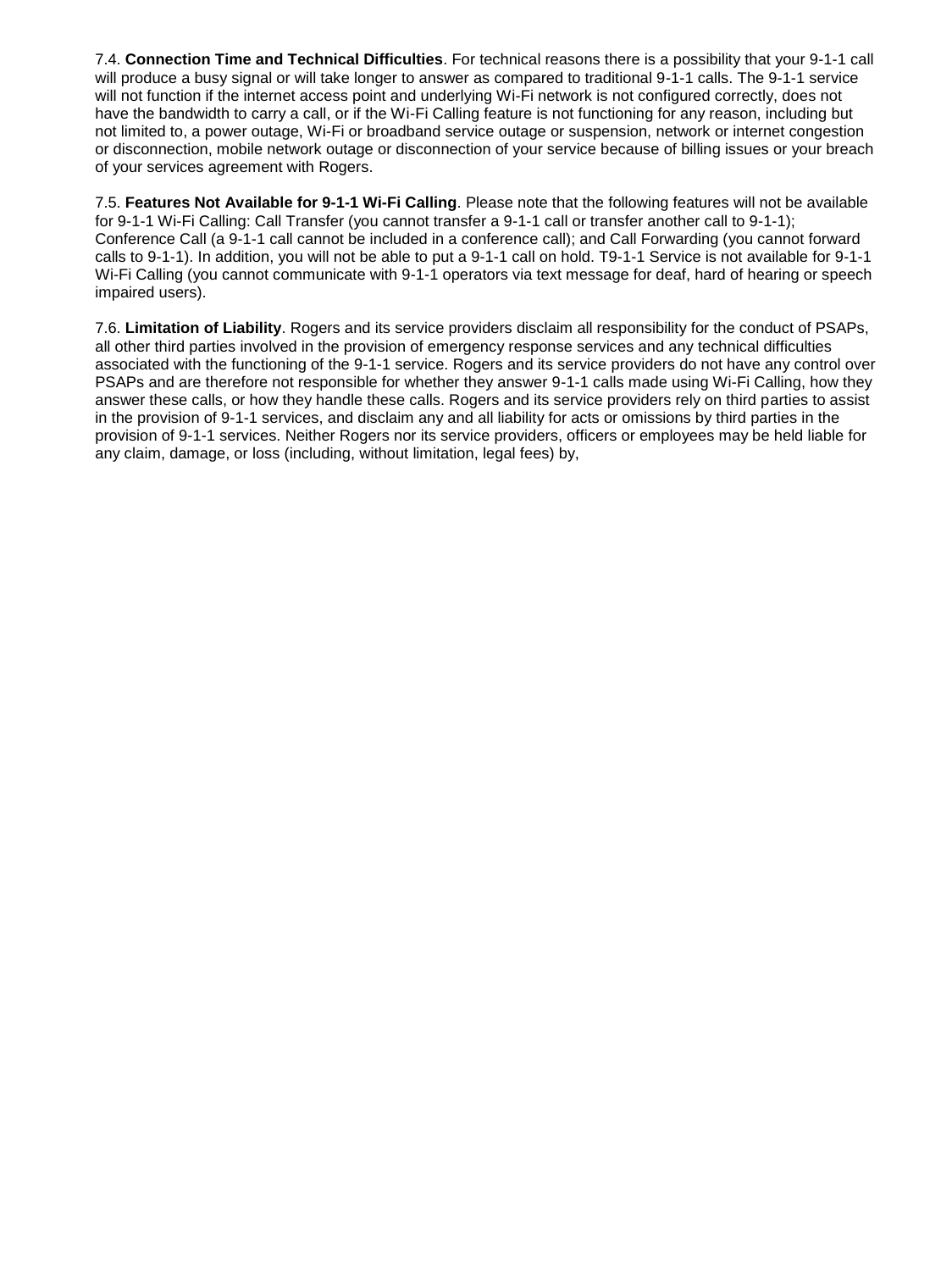7.4. **Connection Time and Technical Difficulties**. For technical reasons there is a possibility that your 9-1-1 call will produce a busy signal or will take longer to answer as compared to traditional 9-1-1 calls. The 9-1-1 service will not function if the internet access point and underlying Wi-Fi network is not configured correctly, does not have the bandwidth to carry a call, or if the Wi-Fi Calling feature is not functioning for any reason, including but not limited to, a power outage, Wi-Fi or broadband service outage or suspension, network or internet congestion or disconnection, mobile network outage or disconnection of your service because of billing issues or your breach of your services agreement with Rogers.

7.5. **Features Not Available for 9-1-1 Wi-Fi Calling**. Please note that the following features will not be available for 9-1-1 Wi-Fi Calling: Call Transfer (you cannot transfer a 9-1-1 call or transfer another call to 9-1-1); Conference Call (a 9-1-1 call cannot be included in a conference call); and Call Forwarding (you cannot forward calls to 9-1-1). In addition, you will not be able to put a 9-1-1 call on hold. T9-1-1 Service is not available for 9-1-1 Wi-Fi Calling (you cannot communicate with 9-1-1 operators via text message for deaf, hard of hearing or speech impaired users).

7.6. **Limitation of Liability**. Rogers and its service providers disclaim all responsibility for the conduct of PSAPs, all other third parties involved in the provision of emergency response services and any technical difficulties associated with the functioning of the 9-1-1 service. Rogers and its service providers do not have any control over PSAPs and are therefore not responsible for whether they answer 9-1-1 calls made using Wi-Fi Calling, how they answer these calls, or how they handle these calls. Rogers and its service providers rely on third parties to assist in the provision of 9-1-1 services, and disclaim any and all liability for acts or omissions by third parties in the provision of 9-1-1 services. Neither Rogers nor its service providers, officers or employees may be held liable for any claim, damage, or loss (including, without limitation, legal fees) by,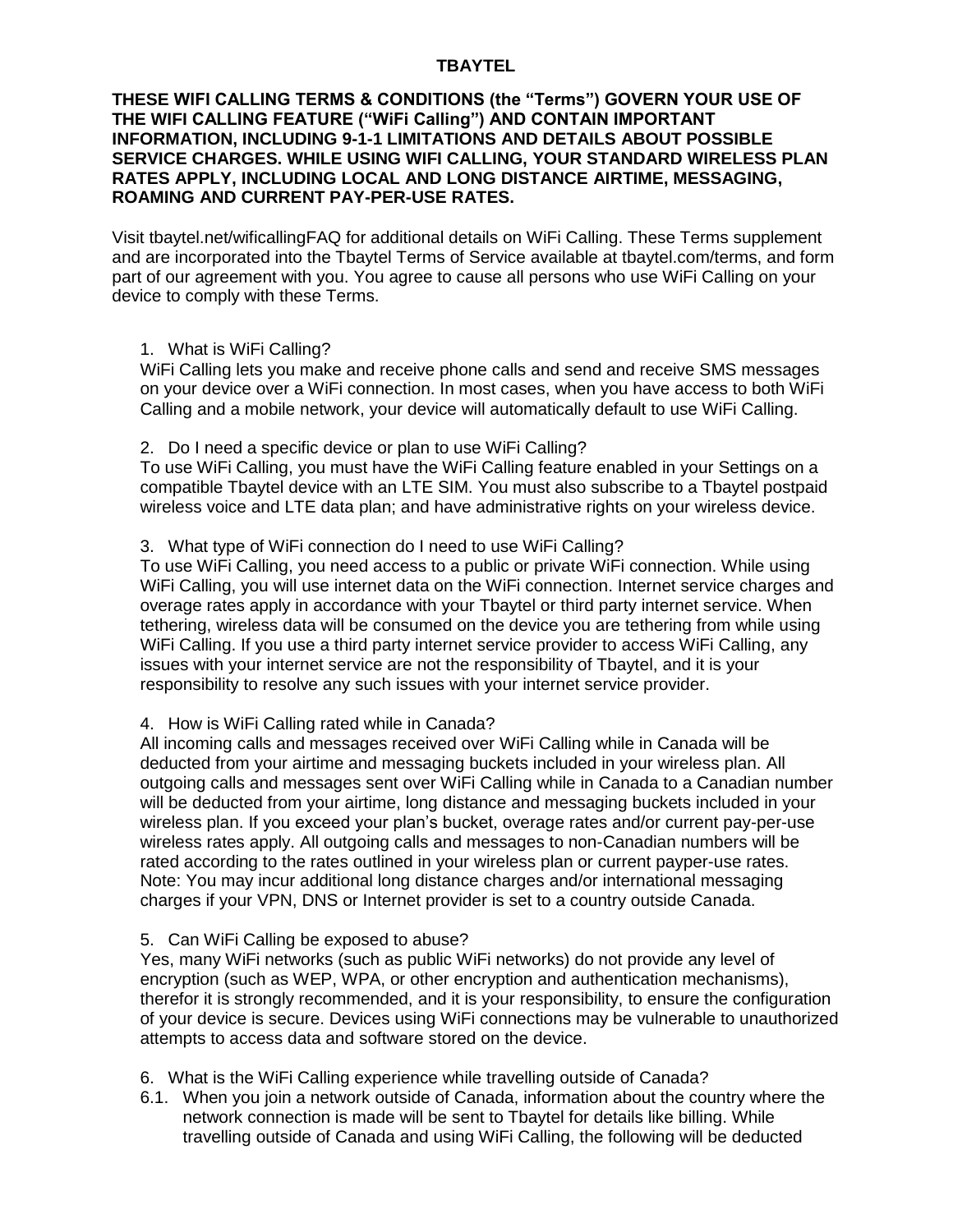# **TBAYTEL**

# **THESE WIFI CALLING TERMS & CONDITIONS (the "Terms") GOVERN YOUR USE OF THE WIFI CALLING FEATURE ("WiFi Calling") AND CONTAIN IMPORTANT INFORMATION, INCLUDING 9-1-1 LIMITATIONS AND DETAILS ABOUT POSSIBLE SERVICE CHARGES. WHILE USING WIFI CALLING, YOUR STANDARD WIRELESS PLAN RATES APPLY, INCLUDING LOCAL AND LONG DISTANCE AIRTIME, MESSAGING, ROAMING AND CURRENT PAY-PER-USE RATES.**

Visit tbaytel.net/wificallingFAQ for additional details on WiFi Calling. These Terms supplement and are incorporated into the Tbaytel Terms of Service available at tbaytel.com/terms, and form part of our agreement with you. You agree to cause all persons who use WiFi Calling on your device to comply with these Terms.

# 1. What is WiFi Calling?

WiFi Calling lets you make and receive phone calls and send and receive SMS messages on your device over a WiFi connection. In most cases, when you have access to both WiFi Calling and a mobile network, your device will automatically default to use WiFi Calling.

2. Do I need a specific device or plan to use WiFi Calling?

To use WiFi Calling, you must have the WiFi Calling feature enabled in your Settings on a compatible Tbaytel device with an LTE SIM. You must also subscribe to a Tbaytel postpaid wireless voice and LTE data plan; and have administrative rights on your wireless device.

# 3. What type of WiFi connection do I need to use WiFi Calling?

To use WiFi Calling, you need access to a public or private WiFi connection. While using WiFi Calling, you will use internet data on the WiFi connection. Internet service charges and overage rates apply in accordance with your Tbaytel or third party internet service. When tethering, wireless data will be consumed on the device you are tethering from while using WiFi Calling. If you use a third party internet service provider to access WiFi Calling, any issues with your internet service are not the responsibility of Tbaytel, and it is your responsibility to resolve any such issues with your internet service provider.

# 4. How is WiFi Calling rated while in Canada?

All incoming calls and messages received over WiFi Calling while in Canada will be deducted from your airtime and messaging buckets included in your wireless plan. All outgoing calls and messages sent over WiFi Calling while in Canada to a Canadian number will be deducted from your airtime, long distance and messaging buckets included in your wireless plan. If you exceed your plan's bucket, overage rates and/or current pay-per-use wireless rates apply. All outgoing calls and messages to non-Canadian numbers will be rated according to the rates outlined in your wireless plan or current payper-use rates. Note: You may incur additional long distance charges and/or international messaging charges if your VPN, DNS or Internet provider is set to a country outside Canada.

### 5. Can WiFi Calling be exposed to abuse?

Yes, many WiFi networks (such as public WiFi networks) do not provide any level of encryption (such as WEP, WPA, or other encryption and authentication mechanisms), therefor it is strongly recommended, and it is your responsibility, to ensure the configuration of your device is secure. Devices using WiFi connections may be vulnerable to unauthorized attempts to access data and software stored on the device.

- 6. What is the WiFi Calling experience while travelling outside of Canada?
- 6.1. When you join a network outside of Canada, information about the country where the network connection is made will be sent to Tbaytel for details like billing. While travelling outside of Canada and using WiFi Calling, the following will be deducted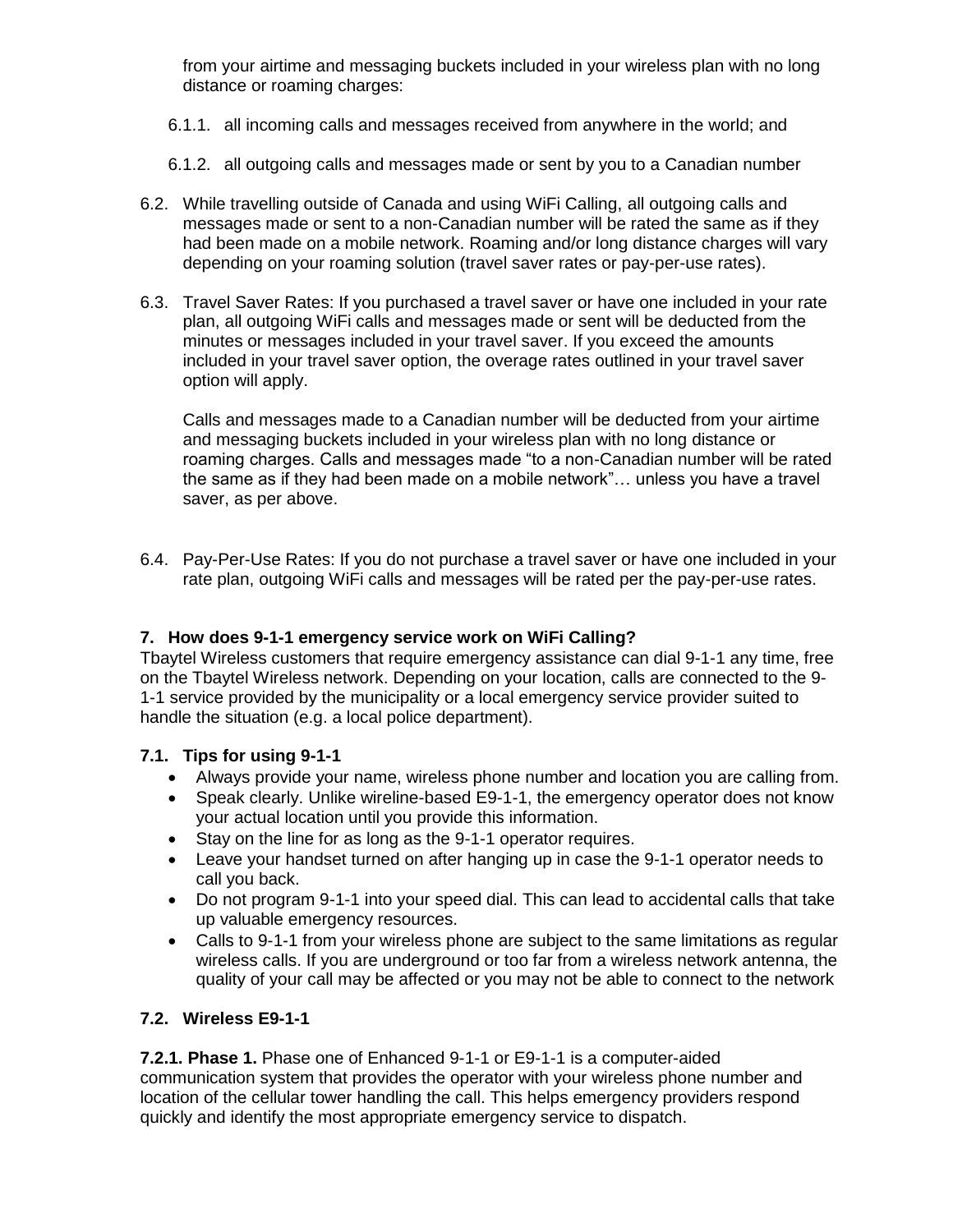from your airtime and messaging buckets included in your wireless plan with no long distance or roaming charges:

- 6.1.1. all incoming calls and messages received from anywhere in the world; and
- 6.1.2. all outgoing calls and messages made or sent by you to a Canadian number
- 6.2. While travelling outside of Canada and using WiFi Calling, all outgoing calls and messages made or sent to a non-Canadian number will be rated the same as if they had been made on a mobile network. Roaming and/or long distance charges will vary depending on your roaming solution (travel saver rates or pay-per-use rates).
- 6.3. Travel Saver Rates: If you purchased a travel saver or have one included in your rate plan, all outgoing WiFi calls and messages made or sent will be deducted from the minutes or messages included in your travel saver. If you exceed the amounts included in your travel saver option, the overage rates outlined in your travel saver option will apply.

Calls and messages made to a Canadian number will be deducted from your airtime and messaging buckets included in your wireless plan with no long distance or roaming charges. Calls and messages made "to a non-Canadian number will be rated the same as if they had been made on a mobile network"… unless you have a travel saver, as per above.

6.4. Pay-Per-Use Rates: If you do not purchase a travel saver or have one included in your rate plan, outgoing WiFi calls and messages will be rated per the pay-per-use rates.

# **7. How does 9-1-1 emergency service work on WiFi Calling?**

Tbaytel Wireless customers that require emergency assistance can dial 9-1-1 any time, free on the Tbaytel Wireless network. Depending on your location, calls are connected to the 9- 1-1 service provided by the municipality or a local emergency service provider suited to handle the situation (e.g. a local police department).

# **7.1. Tips for using 9-1-1**

- Always provide your name, wireless phone number and location you are calling from.
- Speak clearly. Unlike wireline-based E9-1-1, the emergency operator does not know your actual location until you provide this information.
- Stay on the line for as long as the 9-1-1 operator requires.
- Leave your handset turned on after hanging up in case the 9-1-1 operator needs to call you back.
- Do not program 9-1-1 into your speed dial. This can lead to accidental calls that take up valuable emergency resources.
- Calls to 9-1-1 from your wireless phone are subject to the same limitations as regular wireless calls. If you are underground or too far from a wireless network antenna, the quality of your call may be affected or you may not be able to connect to the network

# **7.2. Wireless E9-1-1**

**7.2.1. Phase 1.** Phase one of Enhanced 9-1-1 or E9-1-1 is a computer-aided communication system that provides the operator with your wireless phone number and location of the cellular tower handling the call. This helps emergency providers respond quickly and identify the most appropriate emergency service to dispatch.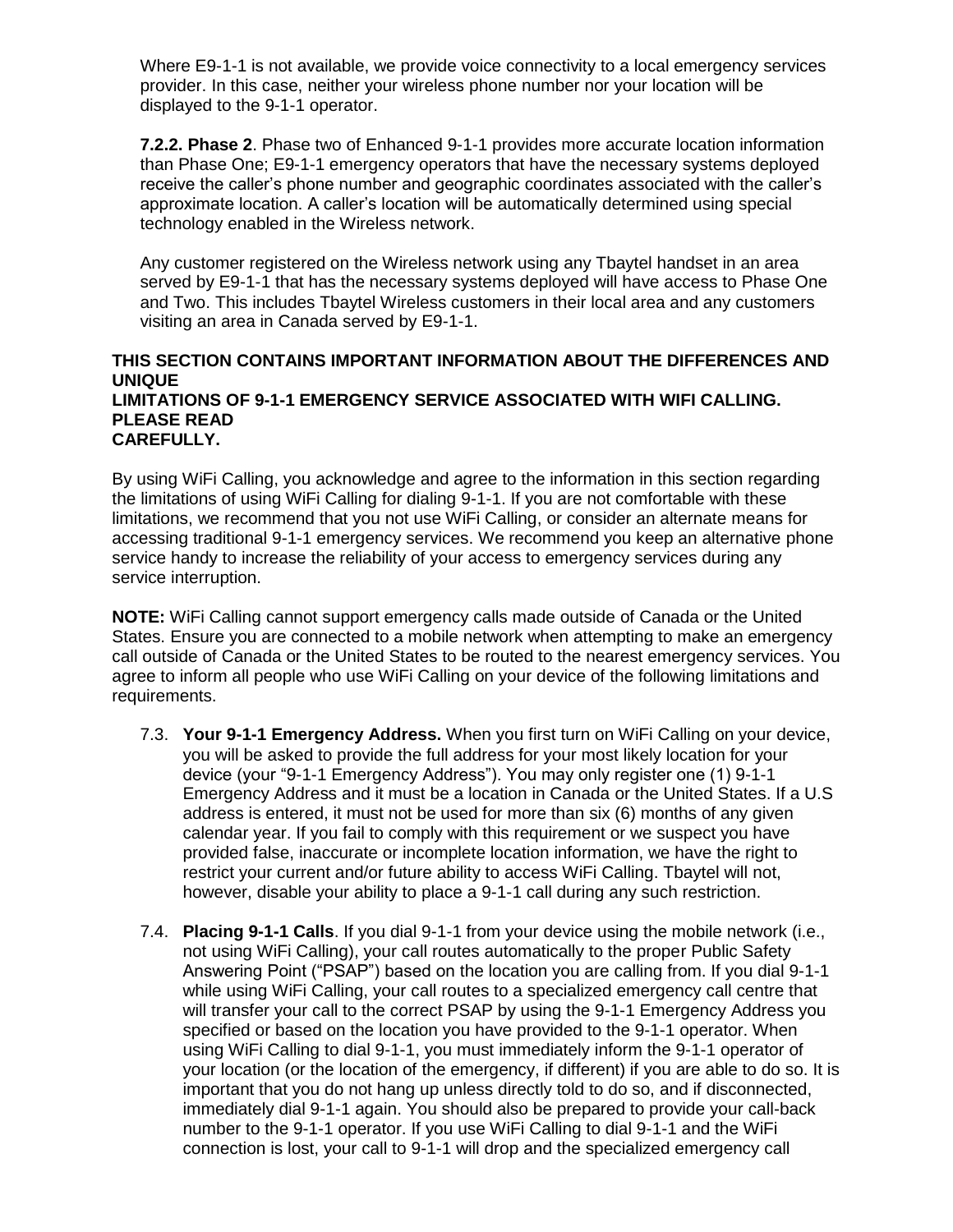Where E9-1-1 is not available, we provide voice connectivity to a local emergency services provider. In this case, neither your wireless phone number nor your location will be displayed to the 9-1-1 operator.

**7.2.2. Phase 2**. Phase two of Enhanced 9-1-1 provides more accurate location information than Phase One; E9-1-1 emergency operators that have the necessary systems deployed receive the caller's phone number and geographic coordinates associated with the caller's approximate location. A caller's location will be automatically determined using special technology enabled in the Wireless network.

Any customer registered on the Wireless network using any Tbaytel handset in an area served by E9-1-1 that has the necessary systems deployed will have access to Phase One and Two. This includes Tbaytel Wireless customers in their local area and any customers visiting an area in Canada served by E9-1-1.

### **THIS SECTION CONTAINS IMPORTANT INFORMATION ABOUT THE DIFFERENCES AND UNIQUE LIMITATIONS OF 9-1-1 EMERGENCY SERVICE ASSOCIATED WITH WIFI CALLING. PLEASE READ CAREFULLY.**

By using WiFi Calling, you acknowledge and agree to the information in this section regarding the limitations of using WiFi Calling for dialing 9-1-1. If you are not comfortable with these limitations, we recommend that you not use WiFi Calling, or consider an alternate means for accessing traditional 9-1-1 emergency services. We recommend you keep an alternative phone service handy to increase the reliability of your access to emergency services during any service interruption.

**NOTE:** WiFi Calling cannot support emergency calls made outside of Canada or the United States. Ensure you are connected to a mobile network when attempting to make an emergency call outside of Canada or the United States to be routed to the nearest emergency services. You agree to inform all people who use WiFi Calling on your device of the following limitations and requirements.

- 7.3. **Your 9-1-1 Emergency Address.** When you first turn on WiFi Calling on your device, you will be asked to provide the full address for your most likely location for your device (your "9-1-1 Emergency Address"). You may only register one (1) 9-1-1 Emergency Address and it must be a location in Canada or the United States. If a U.S address is entered, it must not be used for more than six (6) months of any given calendar year. If you fail to comply with this requirement or we suspect you have provided false, inaccurate or incomplete location information, we have the right to restrict your current and/or future ability to access WiFi Calling. Tbaytel will not, however, disable your ability to place a 9-1-1 call during any such restriction.
- 7.4. **Placing 9-1-1 Calls**. If you dial 9-1-1 from your device using the mobile network (i.e., not using WiFi Calling), your call routes automatically to the proper Public Safety Answering Point ("PSAP") based on the location you are calling from. If you dial 9-1-1 while using WiFi Calling, your call routes to a specialized emergency call centre that will transfer your call to the correct PSAP by using the 9-1-1 Emergency Address you specified or based on the location you have provided to the 9-1-1 operator. When using WiFi Calling to dial 9-1-1, you must immediately inform the 9-1-1 operator of your location (or the location of the emergency, if different) if you are able to do so. It is important that you do not hang up unless directly told to do so, and if disconnected, immediately dial 9-1-1 again. You should also be prepared to provide your call-back number to the 9-1-1 operator. If you use WiFi Calling to dial 9-1-1 and the WiFi connection is lost, your call to 9-1-1 will drop and the specialized emergency call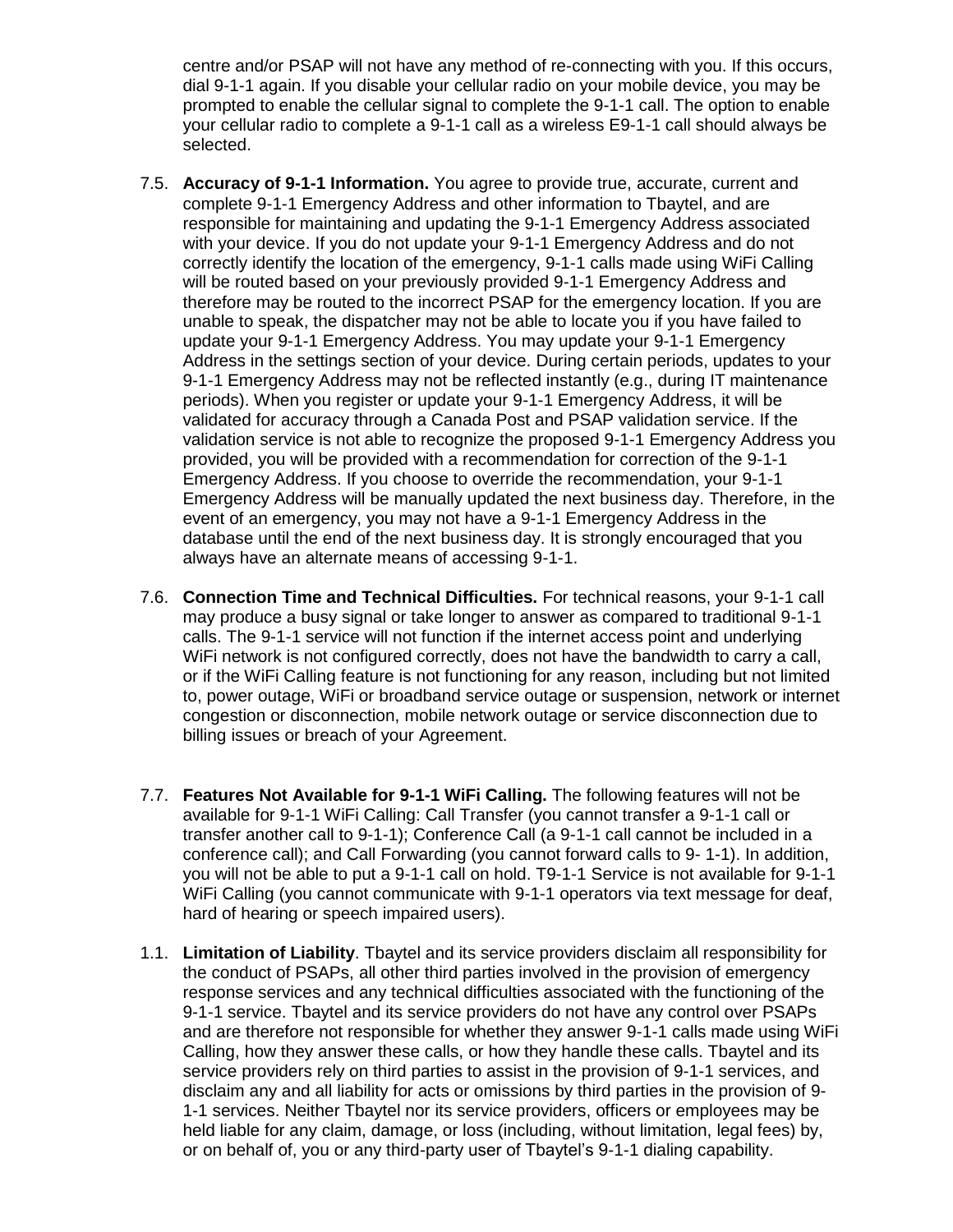centre and/or PSAP will not have any method of re-connecting with you. If this occurs, dial 9-1-1 again. If you disable your cellular radio on your mobile device, you may be prompted to enable the cellular signal to complete the 9-1-1 call. The option to enable your cellular radio to complete a 9-1-1 call as a wireless E9-1-1 call should always be selected.

- 7.5. **Accuracy of 9-1-1 Information.** You agree to provide true, accurate, current and complete 9-1-1 Emergency Address and other information to Tbaytel, and are responsible for maintaining and updating the 9-1-1 Emergency Address associated with your device. If you do not update your 9-1-1 Emergency Address and do not correctly identify the location of the emergency, 9-1-1 calls made using WiFi Calling will be routed based on your previously provided 9-1-1 Emergency Address and therefore may be routed to the incorrect PSAP for the emergency location. If you are unable to speak, the dispatcher may not be able to locate you if you have failed to update your 9-1-1 Emergency Address. You may update your 9-1-1 Emergency Address in the settings section of your device. During certain periods, updates to your 9-1-1 Emergency Address may not be reflected instantly (e.g., during IT maintenance periods). When you register or update your 9-1-1 Emergency Address, it will be validated for accuracy through a Canada Post and PSAP validation service. If the validation service is not able to recognize the proposed 9-1-1 Emergency Address you provided, you will be provided with a recommendation for correction of the 9-1-1 Emergency Address. If you choose to override the recommendation, your 9-1-1 Emergency Address will be manually updated the next business day. Therefore, in the event of an emergency, you may not have a 9-1-1 Emergency Address in the database until the end of the next business day. It is strongly encouraged that you always have an alternate means of accessing 9-1-1.
- 7.6. **Connection Time and Technical Difficulties.** For technical reasons, your 9-1-1 call may produce a busy signal or take longer to answer as compared to traditional 9-1-1 calls. The 9-1-1 service will not function if the internet access point and underlying WiFi network is not configured correctly, does not have the bandwidth to carry a call, or if the WiFi Calling feature is not functioning for any reason, including but not limited to, power outage, WiFi or broadband service outage or suspension, network or internet congestion or disconnection, mobile network outage or service disconnection due to billing issues or breach of your Agreement.
- 7.7. **Features Not Available for 9-1-1 WiFi Calling.** The following features will not be available for 9-1-1 WiFi Calling: Call Transfer (you cannot transfer a 9-1-1 call or transfer another call to 9-1-1); Conference Call (a 9-1-1 call cannot be included in a conference call); and Call Forwarding (you cannot forward calls to 9- 1-1). In addition, you will not be able to put a 9-1-1 call on hold. T9-1-1 Service is not available for 9-1-1 WiFi Calling (you cannot communicate with 9-1-1 operators via text message for deaf, hard of hearing or speech impaired users).
- 1.1. **Limitation of Liability**. Tbaytel and its service providers disclaim all responsibility for the conduct of PSAPs, all other third parties involved in the provision of emergency response services and any technical difficulties associated with the functioning of the 9-1-1 service. Tbaytel and its service providers do not have any control over PSAPs and are therefore not responsible for whether they answer 9-1-1 calls made using WiFi Calling, how they answer these calls, or how they handle these calls. Tbaytel and its service providers rely on third parties to assist in the provision of 9-1-1 services, and disclaim any and all liability for acts or omissions by third parties in the provision of 9- 1-1 services. Neither Tbaytel nor its service providers, officers or employees may be held liable for any claim, damage, or loss (including, without limitation, legal fees) by, or on behalf of, you or any third-party user of Tbaytel's 9-1-1 dialing capability.